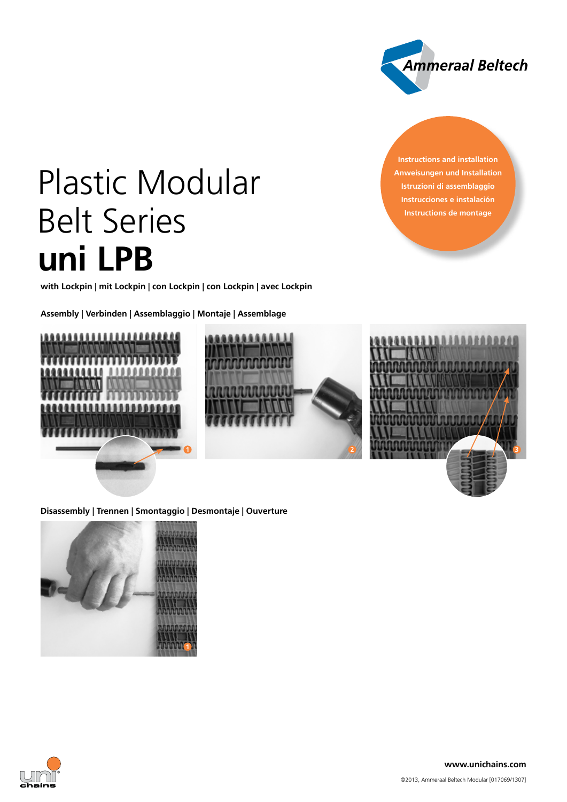

**Instructions and installation Anweisungen und Installation Istruzioni di assemblaggio Instrucciones e instalación Instructions de montage**

# Plastic Modular Belt Series **uni LPB**

**with Lockpin | mit Lockpin | con Lockpin | con Lockpin | avec Lockpin**

**Assembly | Verbinden | Assemblaggio | Montaje | Assemblage**







**Disassembly | Trennen | Smontaggio | Desmontaje | Ouverture**